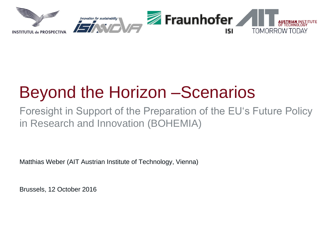

# Beyond the Horizon –Scenarios

Foresight in Support of the Preparation of the EU's Future Policy in Research and Innovation (BOHEMIA)

Matthias Weber (AIT Austrian Institute of Technology, Vienna)

Brussels, 12 October 2016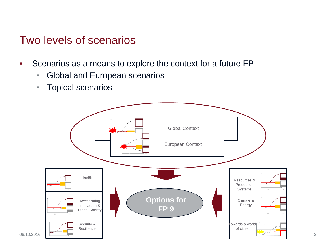#### Two levels of scenarios

- Scenarios as a means to explore the context for a future FP
	- **EXEDEN** Global and European scenarios
	- **Topical scenarios**

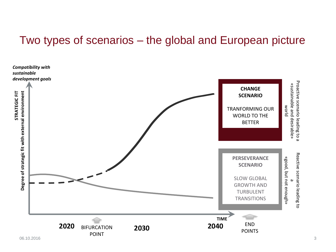#### Two types of scenarios – the global and European picture

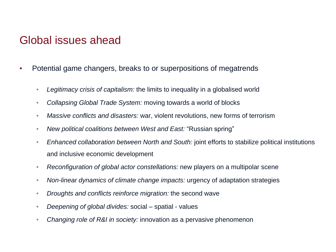#### Global issues ahead

- Potential game changers, breaks to or superpositions of megatrends
	- *Legitimacy crisis of capitalism:* the limits to inequality in a globalised world
	- *Collapsing Global Trade System:* moving towards a world of blocks
	- *Massive conflicts and disasters:* war, violent revolutions, new forms of terrorism
	- *New political coalitions between West and East:* "Russian spring"
	- *Enhanced collaboration between North and South:* joint efforts to stabilize political institutions and inclusive economic development
	- *Reconfiguration of global actor constellations:* new players on a multipolar scene
	- *Non-linear dynamics of climate change impacts:* urgency of adaptation strategies
	- *Droughts and conflicts reinforce migration:* the second wave
	- *Deepening of global divides:* social spatial values
	- *Changing role of R&I in society:* innovation as a pervasive phenomenon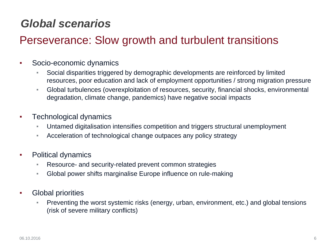# *Global scenarios*

## Perseverance: Slow growth and turbulent transitions

- Socio-economic dynamics
	- Social disparities triggered by demographic developments are reinforced by limited resources, poor education and lack of employment opportunities / strong migration pressure
	- Global turbulences (overexploitation of resources, security, financial shocks, environmental degradation, climate change, pandemics) have negative social impacts
- Technological dynamics
	- Untamed digitalisation intensifies competition and triggers structural unemployment
	- **EXEDEE** Acceleration of technological change outpaces any policy strategy
- Political dynamics
	- Resource- and security-related prevent common strategies
	- Global power shifts marginalise Europe influence on rule-making
- Global priorities
	- **Preventing the worst systemic risks (energy, urban, environment, etc.) and global tensions** (risk of severe military conflicts)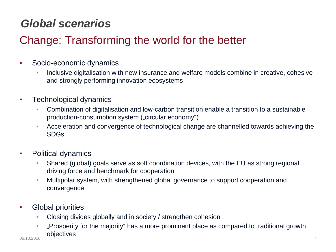# *Global scenarios*

# Change: Transforming the world for the better

- Socio-economic dynamics
	- Inclusive digitalisation with new insurance and welfare models combine in creative, cohesive and strongly performing innovation ecosystems
- Technological dynamics
	- Combination of digitalisation and low-carbon transition enable a transition to a sustainable production-consumption system ("circular economy")
	- Acceleration and convergence of technological change are channelled towards achieving the SDGs
- Political dynamics
	- Shared (global) goals serve as soft coordination devices, with the EU as strong regional driving force and benchmark for cooperation
	- Multipolar system, with strengthened global governance to support cooperation and convergence
- Global priorities
	- Closing divides globally and in society / strengthen cohesion
- "Prosperity for the majority" has a more prominent place as compared to traditional growth objectives 06.10.2016 7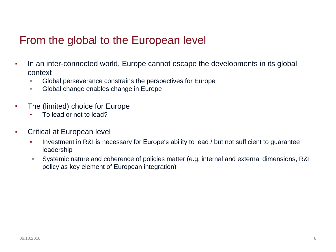#### From the global to the European level

- In an inter-connected world, Europe cannot escape the developments in its global context
	- Global perseverance constrains the perspectives for Europe
	- Global change enables change in Europe
- The (limited) choice for Europe
	- To lead or not to lead?
- Critical at European level
	- **•** Investment in R&I is necessary for Europe's ability to lead / but not sufficient to guarantee leadership
	- Systemic nature and coherence of policies matter (e.g. internal and external dimensions, R&I policy as key element of European integration)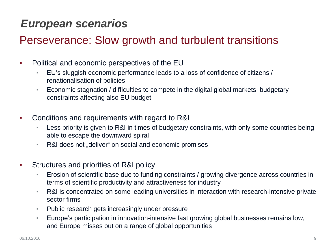## *European scenarios*

### Perseverance: Slow growth and turbulent transitions

- Political and economic perspectives of the EU
	- EU's sluggish economic performance leads to a loss of confidence of citizens / renationalisation of policies
	- Economic stagnation / difficulties to compete in the digital global markets; budgetary constraints affecting also EU budget
- Conditions and requirements with regard to R&I
	- Less priority is given to R&I in times of budgetary constraints, with only some countries being able to escape the downward spiral
	- R&I does not "deliver" on social and economic promises
- **Structures and priorities of R&I policy** 
	- **Erosion of scientific base due to funding constraints / growing divergence across countries in** terms of scientific productivity and attractiveness for industry
	- R&I is concentrated on some leading universities in interaction with research-intensive private sector firms
	- Public research gets increasingly under pressure
	- **Europe's participation in innovation-intensive fast growing global businesses remains low,** and Europe misses out on a range of global opportunities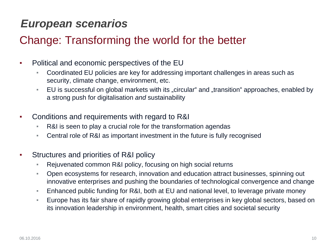## *European scenarios*

## Change: Transforming the world for the better

- Political and economic perspectives of the EU
	- Coordinated EU policies are key for addressing important challenges in areas such as security, climate change, environment, etc.
	- EU is successful on global markets with its "circular" and "transition" approaches, enabled by a strong push for digitalisation *and* sustainability
- Conditions and requirements with regard to R&I
	- R&I is seen to play a crucial role for the transformation agendas
	- Central role of R&I as important investment in the future is fully recognised
- **Structures and priorities of R&I policy** 
	- Rejuvenated common R&I policy, focusing on high social returns
	- Open ecosystems for research, innovation and education attract businesses, spinning out innovative enterprises and pushing the boundaries of technological convergence and change
	- Enhanced public funding for R&I, both at EU and national level, to leverage private money
	- Europe has its fair share of rapidly growing global enterprises in key global sectors, based on its innovation leadership in environment, health, smart cities and societal security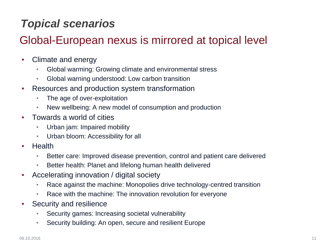# *Topical scenarios*

## Global-European nexus is mirrored at topical level

- Climate and energy
	- Global warming: Growing climate and environmental stress
	- Global warning understood: Low carbon transition
- Resources and production system transformation
	- **The age of over-exploitation**
	- New wellbeing: A new model of consumption and production
- Towards a world of cities
	- Urban jam: Impaired mobility
	- Urban bloom: Accessibility for all
- **Health** 
	- Better care: Improved disease prevention, control and patient care delivered
	- Better health: Planet and lifelong human health delivered
- Accelerating innovation / digital society
	- Race against the machine: Monopolies drive technology-centred transition
	- Race with the machine: The innovation revolution for everyone
- **Security and resilience** 
	- Security games: Increasing societal vulnerability
	- Security building: An open, secure and resilient Europe